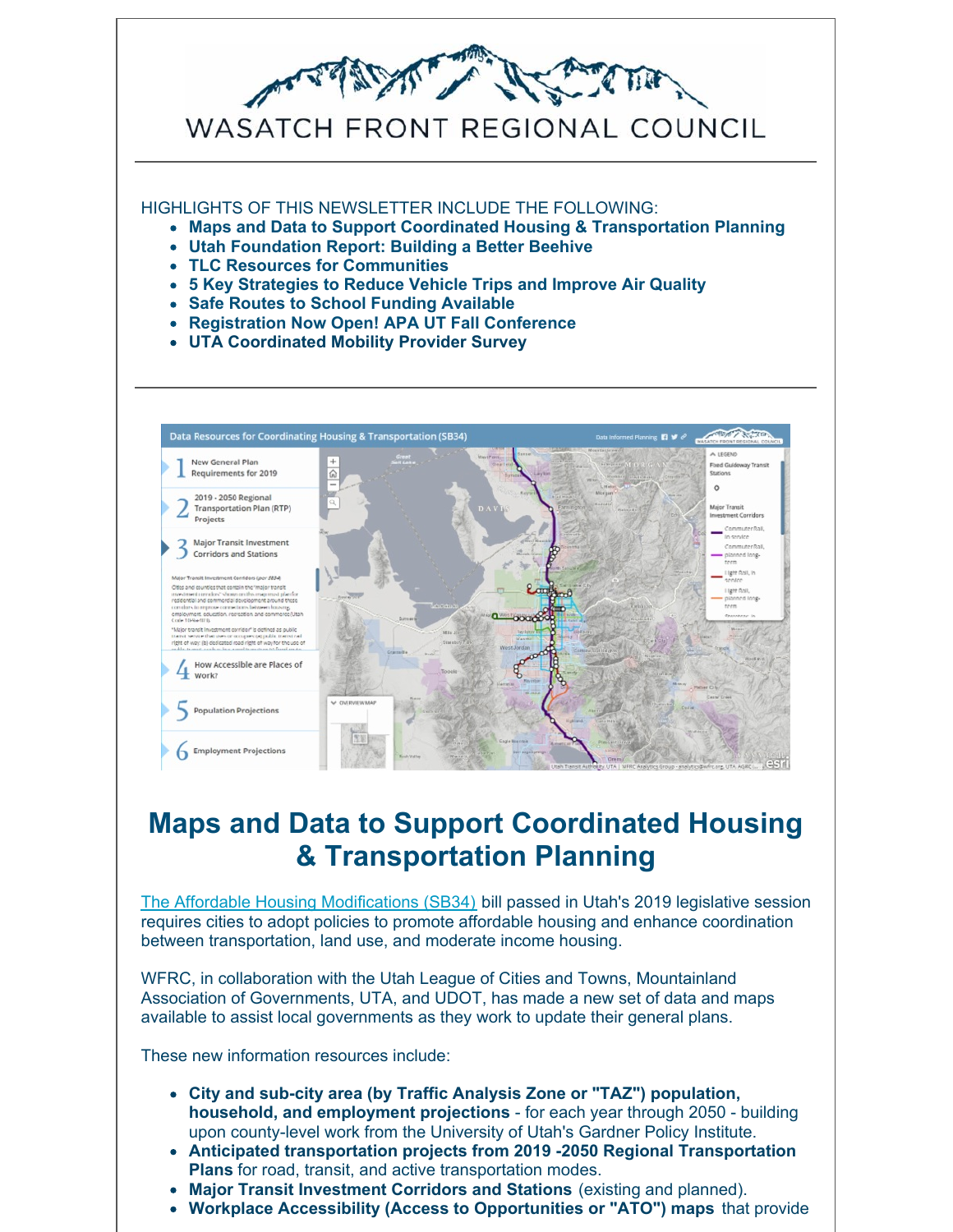

# **Maps and Data to Support Coordinated Housing & Transportation Planning**

The Affordable Housing [Modifications](https://docs.google.com/document/d/1Wc86TpNnpVnw4IRzm9mg5inz95L8c7RR2rFFeF8KLTA/edit) (SB34) bill passed in Utah's 2019 legislative session requires cities to adopt policies to promote affordable housing and enhance coordination between transportation, land use, and moderate income housing.

WFRC, in collaboration with the Utah League of Cities and Towns, Mountainland Association of Governments, UTA, and UDOT, has made a new set of data and maps available to assist local governments as they work to update their general plans.

These new information resources include:

- **City and sub-city area (by Traffic Analysis Zone or "TAZ") population, household, and employment projections** - for each year through 2050 - building upon county-level work from the University of Utah's Gardner Policy Institute.
- **Anticipated transportation projects from 2019 -2050 Regional Transportation Plans** for road, transit, and active transportation modes.
- **Major Transit Investment Corridors and Stations** (existing and planned).
- **Workplace Accessibility (Access to Opportunities or "ATO") maps** that provide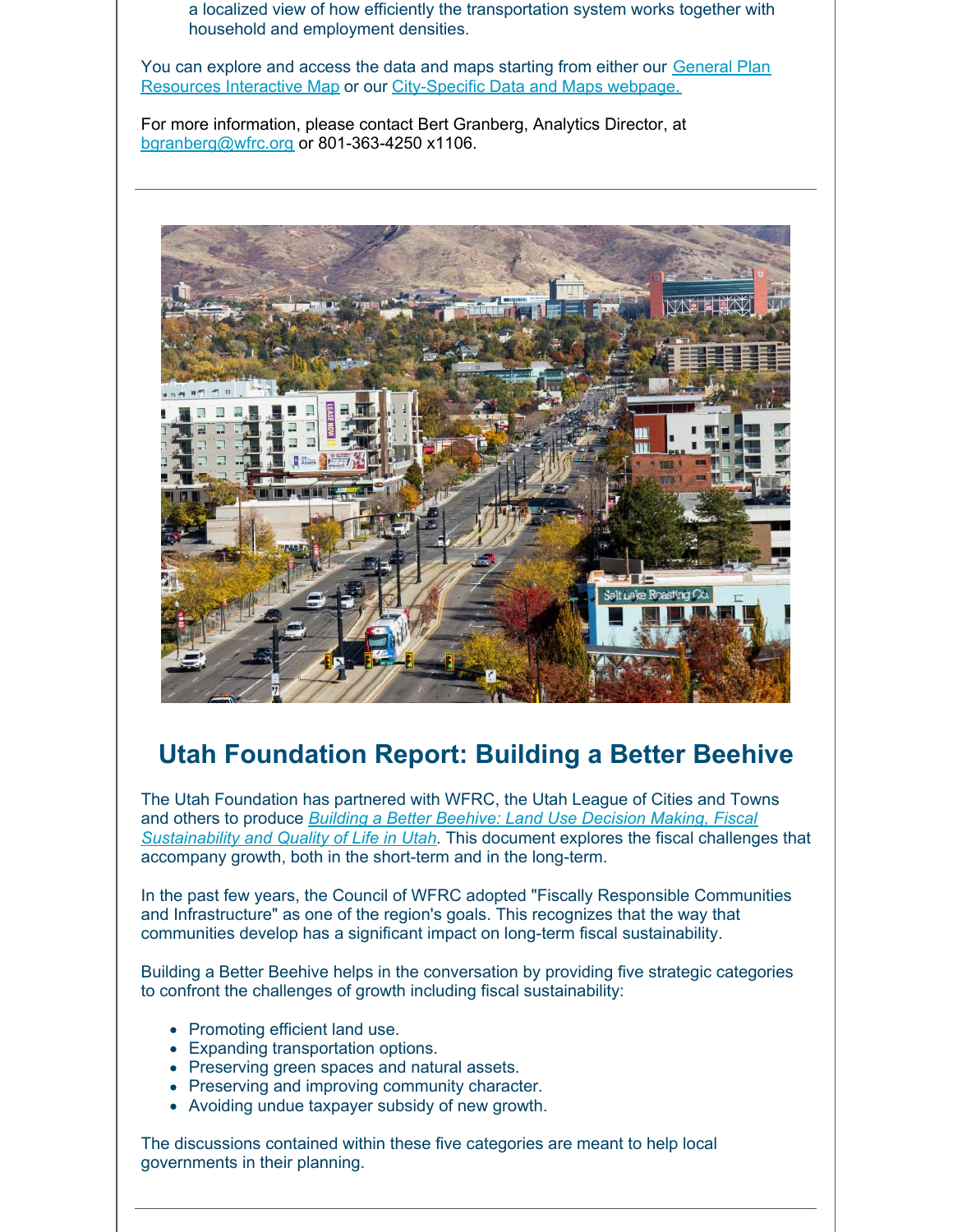a localized view of how efficiently the transportation system works together with household and employment densities.

You can explore and access the data and maps starting from either our General Plan Resources Interactive Map or our [City-Specific](http://wfrc.maps.arcgis.com/apps/MapSeries/index.html?appid=50820dd5d2914b7da80e417dafe49d52) Data and Maps webpage.

For more information, please contact Bert Granberg, Analytics Director, at [bgranberg@wfrc.org](mailto:bgranberg@wfrc.org) or 801-363-4250 x1106.



#### **Utah Foundation Report: Building a Better Beehive**

The Utah Foundation has partnered with WFRC, the Utah League of Cities and Towns and others to produce *Building a Better Beehive: Land Use Decision Making, Fiscal [Sustainability](http://www.utahfoundation.org/uploads/rr763.pdf) and Quality of Life in Utah*. This document explores the fiscal challenges that accompany growth, both in the short-term and in the long-term.

In the past few years, the Council of WFRC adopted "Fiscally Responsible Communities and Infrastructure" as one of the region's goals. This recognizes that the way that communities develop has a significant impact on long-term fiscal sustainability.

Building a Better Beehive helps in the conversation by providing five strategic categories to confront the challenges of growth including fiscal sustainability:

- Promoting efficient land use.
- Expanding transportation options.
- Preserving green spaces and natural assets.
- Preserving and improving community character.
- Avoiding undue taxpayer subsidy of new growth.

The discussions contained within these five categories are meant to help local governments in their planning.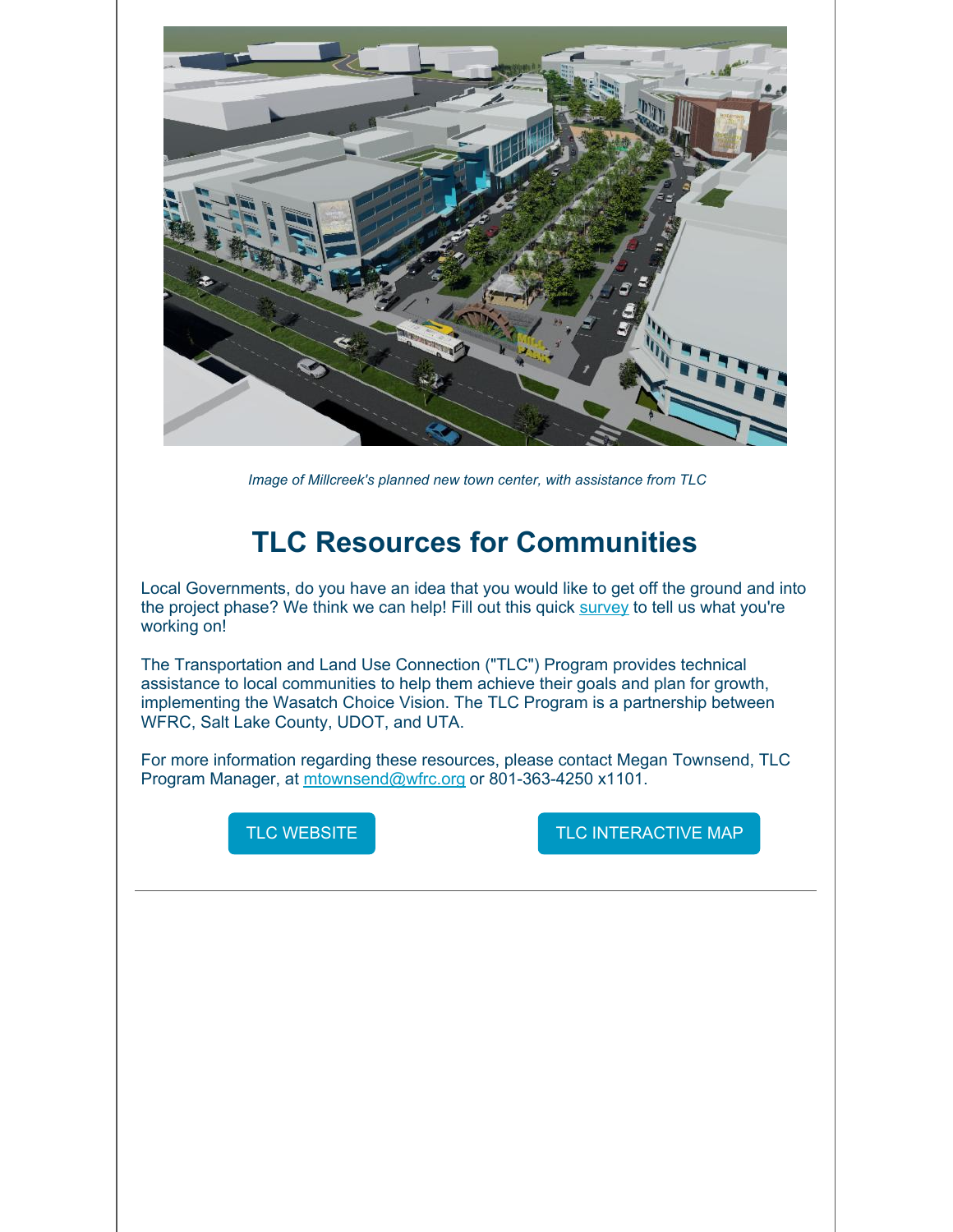

*Image of Millcreek's planned new town center, with assistance from TLC*

# **TLC Resources for Communities**

Local Governments, do you have an idea that you would like to get off the ground and into the project phase? We think we can help! Fill out this quick [survey](https://www.surveymonkey.com/r/TLCprojectidea) to tell us what you're working on!

The Transportation and Land Use Connection ("TLC") Program provides technical assistance to local communities to help them achieve their goals and plan for growth, implementing the Wasatch Choice Vision. The TLC Program is a partnership between WFRC, Salt Lake County, UDOT, and UTA.

For more information regarding these resources, please contact Megan Townsend, TLC Program Manager, at [mtownsend@wfrc.org](mailto:mtownsend@wfrc.org) or 801-363-4250 x1101.



TLC [WEBSITE](https://wfrc.org/programs/transportation-land-use-connection/) **TLC [INTERACTIVE](https://wfrc.maps.arcgis.com/apps/webappviewer/index.html?id=a07232349fe6443c9de33aab218e218f) MAP**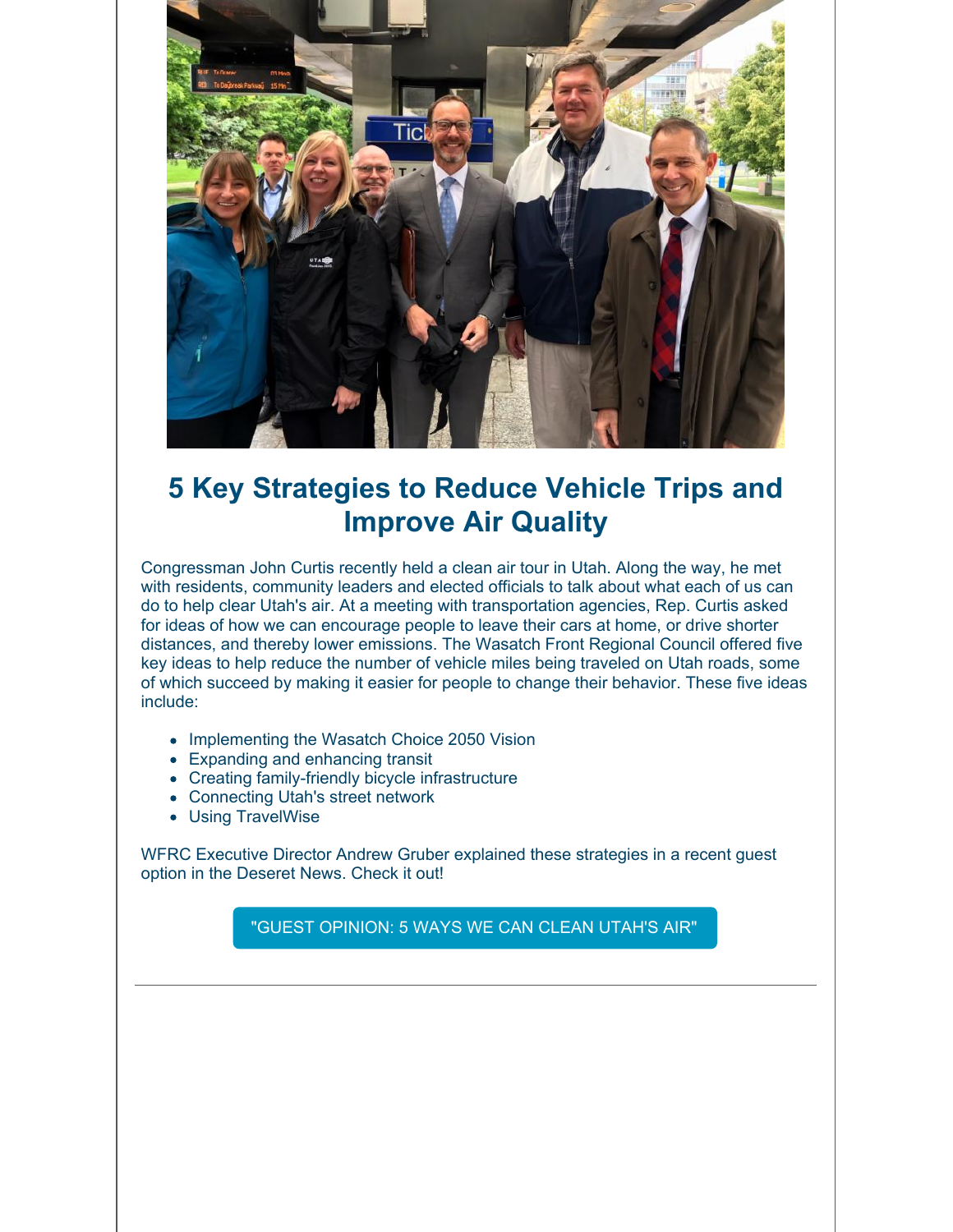

# **5 Key Strategies to Reduce Vehicle Trips and Improve Air Quality**

Congressman John Curtis recently held a clean air tour in Utah. Along the way, he met with residents, community leaders and elected officials to talk about what each of us can do to help clear Utah's air. At a meeting with transportation agencies, Rep. Curtis asked for ideas of how we can encourage people to leave their cars at home, or drive shorter distances, and thereby lower emissions. The Wasatch Front Regional Council offered five key ideas to help reduce the number of vehicle miles being traveled on Utah roads, some of which succeed by making it easier for people to change their behavior. These five ideas include:

- Implementing the Wasatch Choice 2050 Vision
- Expanding and enhancing transit
- Creating family-friendly bicycle infrastructure
- Connecting Utah's street network
- Using TravelWise

WFRC Executive Director Andrew Gruber explained these strategies in a recent guest option in the Deseret News. Check it out!

"GUEST [OPINION:](https://www.deseretnews.com/article/900073979/guest-opinion-5-ways-we-can-clean-utahs-air-pollution-solution.html) 5 WAYS WE CAN CLEAN UTAH'S AIR"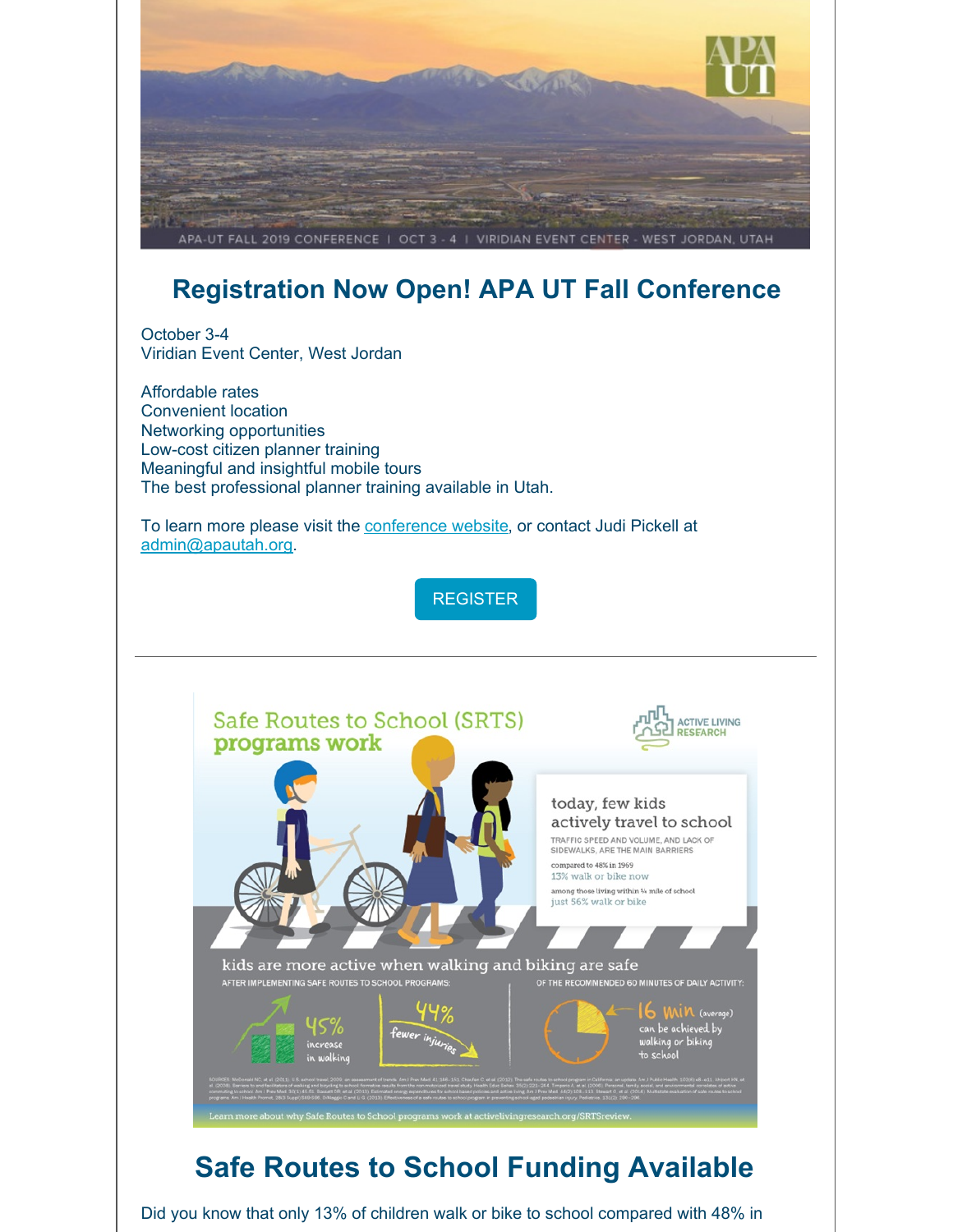

# **Registration Now Open! APA UT Fall Conference**

October 3-4 Viridian Event Center, West Jordan

Affordable rates Convenient location Networking opportunities Low-cost citizen planner training Meaningful and insightful mobile tours The best professional planner training available in Utah.

To learn more please visit the [conference](https://shoutout.wix.com/so/92Mjo0cjH?cid=3cfc20a4-936b-4e7e-93f6-4443d228452a#/main) website, or contact Judi Pickell at [admin@apautah.org](mailto:admin@apautah.org).

**[REGISTER](https://utahapa.eventleap.com/fallconference2018-5b0ed2f21f564-5cdc600b6634e)** 



# **Safe Routes to School Funding Available**

Did you know that only 13% of children walk or bike to school compared with 48% in